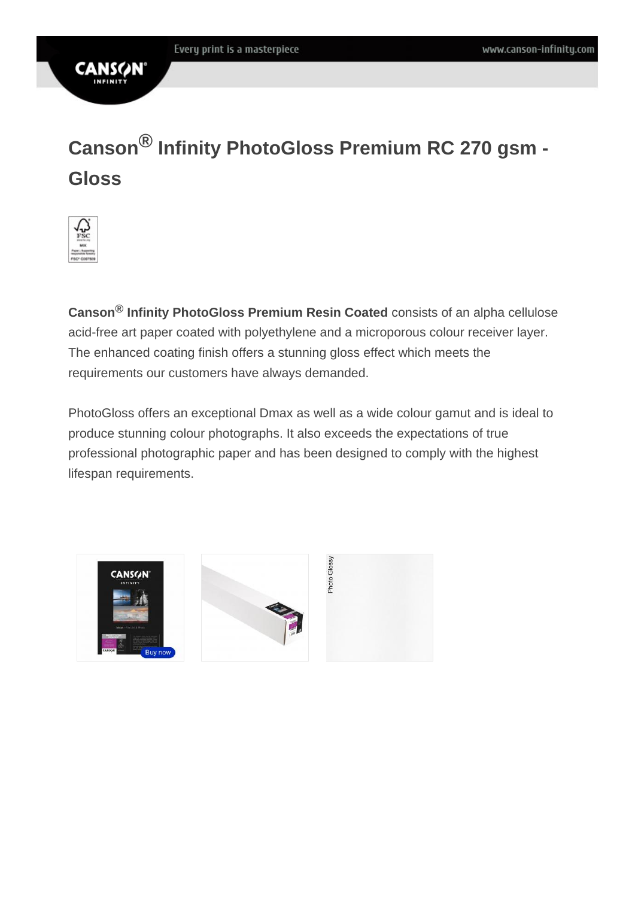## **CANS**

# **Canson® Infinity PhotoGloss Premium RC 270 gsm - Gloss**



**Canson® Infinity PhotoGloss Premium Resin Coated** consists of an alpha cellulose acid-free art paper coated with polyethylene and a microporous colour receiver layer. The enhanced coating finish offers a stunning gloss effect which meets the requirements our customers have always demanded.

PhotoGloss offers an exceptional Dmax as well as a wide colour gamut and is ideal to produce stunning colour photographs. It also exceeds the expectations of true professional photographic paper and has been designed to comply with the highest lifespan requirements.

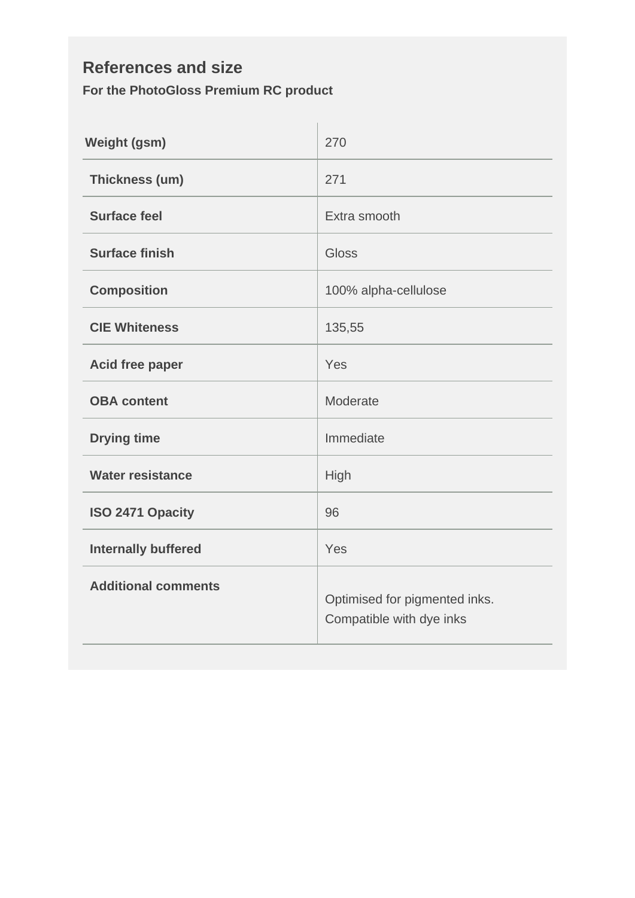#### **References and size For the PhotoGloss Premium RC product**

| <b>Weight (gsm)</b>        | 270                                                       |  |
|----------------------------|-----------------------------------------------------------|--|
| Thickness (um)             | 271                                                       |  |
| <b>Surface feel</b>        | Extra smooth                                              |  |
| <b>Surface finish</b>      | Gloss                                                     |  |
| <b>Composition</b>         | 100% alpha-cellulose                                      |  |
| <b>CIE Whiteness</b>       | 135,55                                                    |  |
| <b>Acid free paper</b>     | Yes                                                       |  |
| <b>OBA</b> content         | Moderate                                                  |  |
| <b>Drying time</b>         | Immediate                                                 |  |
| <b>Water resistance</b>    | High                                                      |  |
| ISO 2471 Opacity           | 96                                                        |  |
| <b>Internally buffered</b> | Yes                                                       |  |
| <b>Additional comments</b> | Optimised for pigmented inks.<br>Compatible with dye inks |  |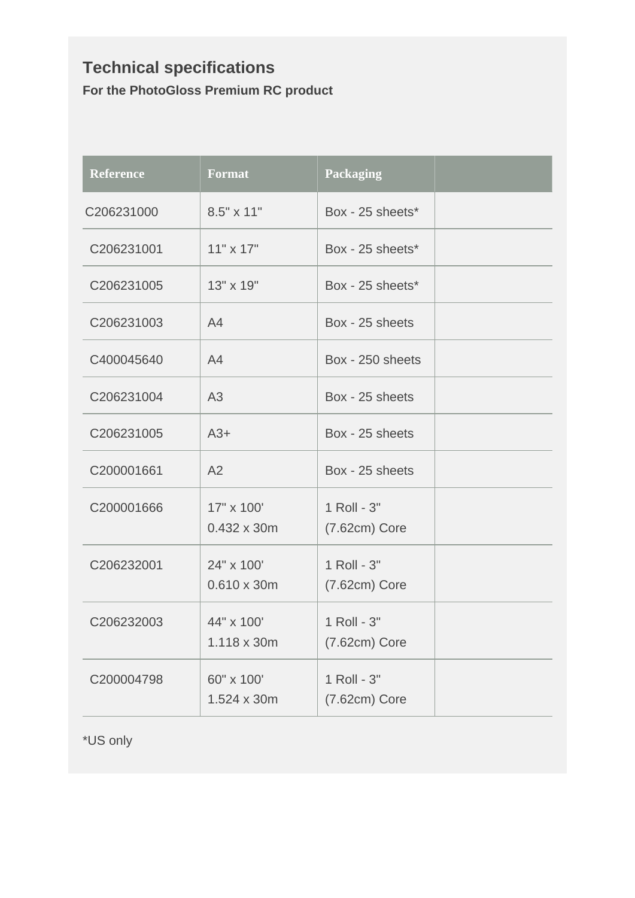### **Technical specifications For the PhotoGloss Premium RC product**

| <b>Reference</b> | <b>Format</b>                    | <b>Packaging</b>               |  |
|------------------|----------------------------------|--------------------------------|--|
| C206231000       | 8.5" x 11"                       | Box - 25 sheets*               |  |
| C206231001       | $11" \times 17"$                 | Box - 25 sheets*               |  |
| C206231005       | 13" x 19"                        | Box - 25 sheets*               |  |
| C206231003       | A4                               | Box - 25 sheets                |  |
| C400045640       | A4                               | Box - 250 sheets               |  |
| C206231004       | A <sub>3</sub>                   | Box - 25 sheets                |  |
| C206231005       | $A3+$                            | Box - 25 sheets                |  |
| C200001661       | A2                               | Box - 25 sheets                |  |
| C200001666       | 17" x 100'<br>0.432 x 30m        | 1 Roll - 3"<br>$(7.62cm)$ Core |  |
| C206232001       | 24" x 100'<br>$0.610 \times 30m$ | 1 Roll - 3"<br>$(7.62cm)$ Core |  |
| C206232003       | 44" x 100'<br>1.118 x 30m        | 1 Roll - 3"<br>$(7.62cm)$ Core |  |
| C200004798       | 60" x 100'<br>1.524 x 30m        | 1 Roll - 3"<br>$(7.62cm)$ Core |  |

\*US only